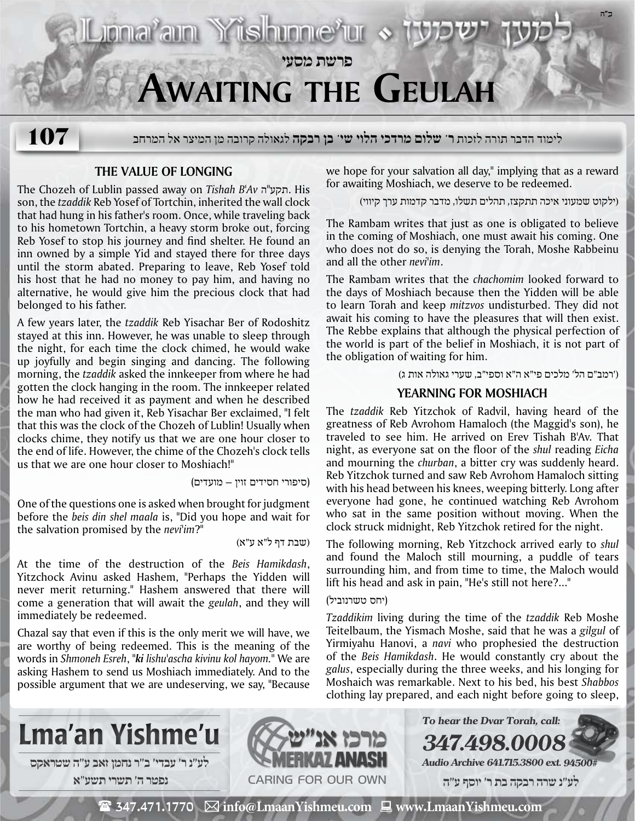

## **The Value of Longing**

The Chozeh of Lublin passed away on *Tishah B'Av* ה"תקע. His son, the *tzaddik* Reb Yosef of Tortchin, inherited the wall clock that had hung in his father's room. Once, while traveling back to his hometown Tortchin, a heavy storm broke out, forcing Reb Yosef to stop his journey and find shelter. He found an inn owned by a simple Yid and stayed there for three days until the storm abated. Preparing to leave, Reb Yosef told his host that he had no money to pay him, and having no alternative, he would give him the precious clock that had belonged to his father.

A few years later, the *tzaddik* Reb Yisachar Ber of Rodoshitz stayed at this inn. However, he was unable to sleep through the night, for each time the clock chimed, he would wake up joyfully and begin singing and dancing. The following morning, the *tzaddik* asked the innkeeper from where he had gotten the clock hanging in the room. The innkeeper related how he had received it as payment and when he described the man who had given it, Reb Yisachar Ber exclaimed, "I felt that this was the clock of the Chozeh of Lublin! Usually when clocks chime, they notify us that we are one hour closer to the end of life. However, the chime of the Chozeh's clock tells us that we are one hour closer to Moshiach!"

(סיפורי חסידים זוין – מועדים)

One of the questions one is asked when brought for judgment before the *beis din shel maala* is, "Did you hope and wait for the salvation promised by the *nevi'im*?"

(שבת דף ל"א ע"א)

At the time of the destruction of the *Beis Hamikdash*, Yitzchock Avinu asked Hashem, "Perhaps the Yidden will never merit returning." Hashem answered that there will come a generation that will await the *geulah*, and they will immediately be redeemed.

Chazal say that even if this is the only merit we will have, we are worthy of being redeemed. This is the meaning of the words in *Shmoneh Esreh*, "*ki lishu'ascha kivinu kol hayom.*" We are asking Hashem to send us Moshiach immediately. And to the possible argument that we are undeserving, we say, "Because

we hope for your salvation all day," implying that as a reward for awaiting Moshiach, we deserve to be redeemed.

(ילקוט שמעוני איכה תתקצז, תהלים תשלו, מדבר קדמות ערך קיווי)

The Rambam writes that just as one is obligated to believe in the coming of Moshiach, one must await his coming. One who does not do so, is denying the Torah, Moshe Rabbeinu and all the other *nevi'im*.

The Rambam writes that the *chachomim* looked forward to the days of Moshiach because then the Yidden will be able to learn Torah and keep *mitzvos* undisturbed. They did not await his coming to have the pleasures that will then exist. The Rebbe explains that although the physical perfection of the world is part of the belief in Moshiach, it is not part of the obligation of waiting for him.

('רמב"ם הל' מלכים פי"א ה"א וספי"ב, שערי גאולה אות ג)

## **Yearning for Moshiach**

The *tzaddik* Reb Yitzchok of Radvil, having heard of the greatness of Reb Avrohom Hamaloch (the Maggid's son), he traveled to see him. He arrived on Erev Tishah B'Av. That night, as everyone sat on the floor of the *shul* reading *Eicha* and mourning the *churban*, a bitter cry was suddenly heard. Reb Yitzchok turned and saw Reb Avrohom Hamaloch sitting with his head between his knees, weeping bitterly. Long after everyone had gone, he continued watching Reb Avrohom who sat in the same position without moving. When the clock struck midnight, Reb Yitzchok retired for the night.

The following morning, Reb Yitzchock arrived early to *shul* and found the Maloch still mourning, a puddle of tears surrounding him, and from time to time, the Maloch would lift his head and ask in pain, "He's still not here?..."

#### (יחס טשרנוביל)

*Tzaddikim* living during the time of the *tzaddik* Reb Moshe Teitelbaum, the Yismach Moshe, said that he was a *gilgul* of Yirmiyahu Hanovi, a *navi* who prophesied the destruction of the *Beis Hamikdash*. He would constantly cry about the *galus*, especially during the three weeks, and his longing for Moshaich was remarkable. Next to his bed, his best *Shabbos* clothing lay prepared, and each night before going to sleep,

**347.498.0008**





**Audio Archive 641.715.3800 ext. 94500#**

**To hear the Dvar Torah, call:**

 **לע"נ שרה רבקה בת ר׳ יוסף ע"ה**

 $\mathbf{\mathcal{F}}$  347.471.1770  $\ \boxtimes$  info@LmaanYishmeu.com  $\ \blacksquare$  www.LmaanYishmeu.com